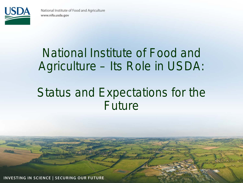

### National Institute of Food and Agriculture – Its Role in USDA:

### Status and Expectations for the Future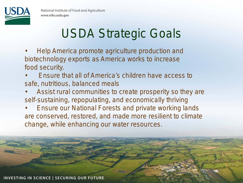

### USDA Strategic Goals

- Help America promote agriculture production and biotechnology exports as America works to increase food security.
- Ensure that all of America's children have access to safe, nutritious, balanced meals
- Assist rural communities to create prosperity so they are self-sustaining, repopulating, and economically thriving
- Ensure our National Forests and private working lands are conserved, restored, and made more resilient to climate change, while enhancing our water resources.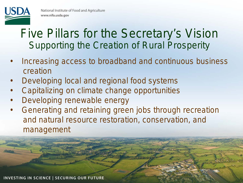

### Five Pillars for the Secretary's Vision Supporting the Creation of Rural Prosperity

- Increasing access to broadband and continuous business creation
- Developing local and regional food systems
- Capitalizing on climate change opportunities
- Developing renewable energy
- Generating and retaining green jobs through recreation and natural resource restoration, conservation, and management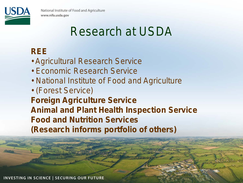

### Research at USDA

#### **REE**

- Agricultural Research Service
- Economic Research Service
- National Institute of Food and Agriculture
- (Forest Service) **Foreign Agriculture Service Animal and Plant Health Inspection Service Food and Nutrition Services (Research informs portfolio of others)**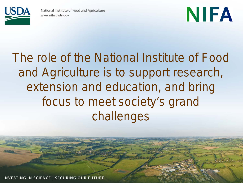

## NIFA

### The role of the National Institute of Food and Agriculture is to support research, extension and education, and bring focus to meet society's grand challenges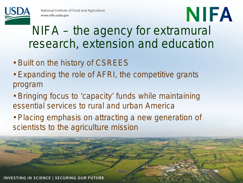

### NIFA – the agency for extramural research, extension and education

NIFA

- Built on the history of CSREES
- Expanding the role of AFRI, the competitive grants program
- Bringing focus to 'capacity' funds while maintaining essential services to rural and urban America
- Placing emphasis on attracting a new generation of scientists to the agriculture mission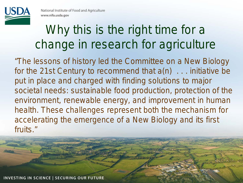

### Why this is the right time for a change in research for agriculture

*"The lessons of history led the Committee on a New Biology for the 21st Century to recommend that a(n) . . . initiative be put in place and charged with finding solutions to major societal needs: sustainable food production, protection of the environment, renewable energy, and improvement in human health. These challenges represent both the mechanism for accelerating the emergence of a New Biology and its first fruits."*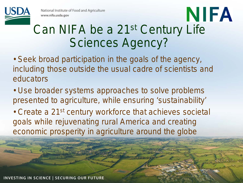### Can NIFA be a 21st Century Life Sciences Agency?

NIFA

- Seek broad participation in the goals of the agency, including those outside the usual cadre of scientists and educators
- Use broader systems approaches to solve problems presented to agriculture, while ensuring 'sustainability'
- Create a 21<sup>st</sup> century workforce that achieves societal goals while rejuvenating rural America and creating economic prosperity in agriculture around the globe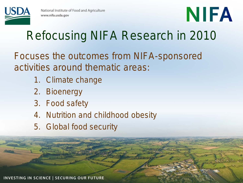

# NIFA

## Refocusing NIFA Research in 2010

Focuses the outcomes from NIFA-sponsored activities around thematic areas:

- 1. Climate change
- 2. Bioenergy
- 3. Food safety
- 4. Nutrition and childhood obesity
- 5. Global food security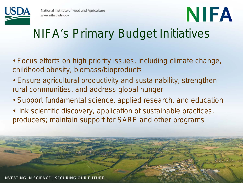

# NIFA

## NIFA's Primary Budget Initiatives

- Focus efforts on high priority issues, including climate change, childhood obesity, biomass/bioproducts
- Ensure agricultural productivity and sustainability, strengthen rural communities, and address global hunger
- Support fundamental science, applied research, and education
- •Link scientific discovery, application of sustainable practices, producers; maintain support for SARE and other programs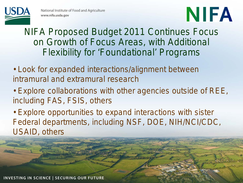

# NIFA

#### NIFA Proposed Budget 2011 Continues Focus on Growth of Focus Areas, with Additional Flexibility for 'Foundational' Programs

- Look for expanded interactions/alignment between intramural and extramural research
- Explore collaborations with other agencies outside of REE, including FAS, FSIS, others
- Explore opportunities to expand interactions with sister Federal departments, including NSF, DOE, NIH/NCI/CDC, USAID, others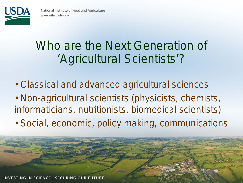

### Who are the Next Generation of 'Agricultural Scientists'?

- Classical and advanced agricultural sciences
- Non-agricultural scientists (physicists, chemists, informaticians, nutritionists, biomedical scientists)
- Social, economic, policy making, communications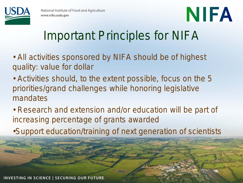

# NIFA

### Important Principles for NIFA

- All activities sponsored by NIFA should be of highest quality: value for dollar
- Activities should, to the extent possible, focus on the 5 priorities/grand challenges while honoring legislative mandates
- Research and extension and/or education will be part of increasing percentage of grants awarded
- •Support education/training of next generation of scientists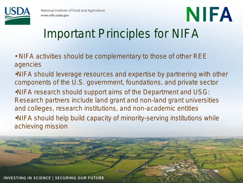

## NIFA Important Principles for NIFA

- NIFA activities should be complementary to those of other REE agencies
- •NIFA should leverage resources and expertise by partnering with other components of the U.S. government, foundations, and private sector
- •NIFA research should support aims of the Department and USG: Research partners include land grant and non-land grant universities and colleges, research institutions, and non-academic entities •NIFA should help build capacity of minority-serving institutions while achieving mission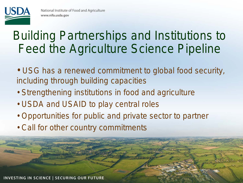

### Building Partnerships and Institutions to Feed the Agriculture Science Pipeline

- USG has a renewed commitment to global food security, including through building capacities
- Strengthening institutions in food and agriculture
- USDA and USAID to play central roles
- Opportunities for public and private sector to partner
- Call for other country commitments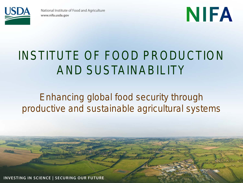

# NIFA

### INSTITUTE OF FOOD PRODUCTION AND SUSTAINABILITY

#### *Enhancing global food security through productive and sustainable agricultural systems*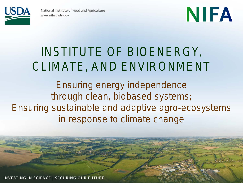

# NIFA

### INSTITUTE OF BIOENERGY, CLIMATE, AND ENVIRONMENT

*Ensuring energy independence through clean, biobased systems; Ensuring sustainable and adaptive agro-ecosystems in response to climate change*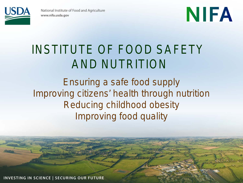

# NIFA

### INSTITUTE OF FOOD SAFETY AND NUTRITION

*Ensuring a safe food supply Improving citizens' health through nutrition Reducing childhood obesity Improving food quality*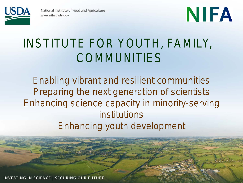

# NIFA

### INSTITUTE FOR YOUTH, FAMILY, COMMUNITIES

*Enabling vibrant and resilient communities Preparing the next generation of scientists Enhancing science capacity in minority-serving institutions Enhancing youth development*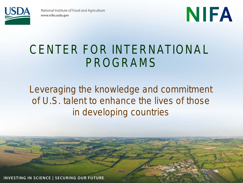



### CENTER FOR INTERNATIONAL PROGRAMS

#### *Leveraging the knowledge and commitment of U.S. talent to enhance the lives of those in developing countries*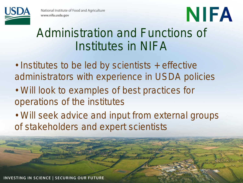

# NIFA

### Administration and Functions of Institutes in NIFA

- Institutes to be led by scientists + effective administrators with experience in USDA policies
- Will look to examples of best practices for operations of the institutes
- Will seek advice and input from external groups of stakeholders and expert scientists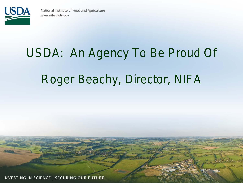

# USDA: An Agency To Be Proud Of Roger Beachy, Director, NIFA